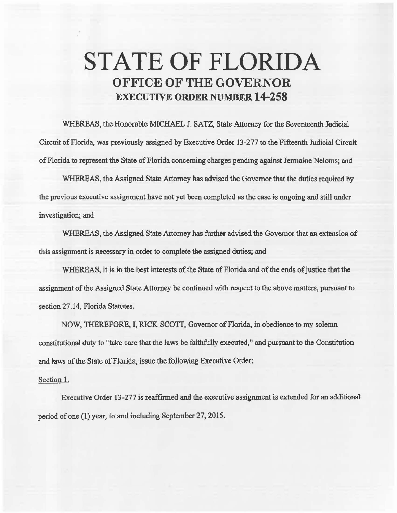## STATE OF FLORIDA OFFICE OF THE GOVERNOR EXECUTIVE ORDER NUMBER 14-258

WHEREAS, the Honorable MICHAEL J. SATZ, State Attorney for the Seventeenth Judicial Circuit of Florida, was previously assigned by Executive Order 13-277 to the Fifteenth Judicial Circuit of Florida to represent the State of Florida concerning charges pending against Jermaine Neloms; and

WHEREAS, the Assigned State Attorney has advised the Governor that the duties required by the previous executive assignment have not yet been completed as the case is ongoing and still under investigation; and

WHEREAS, the Assigned State Attorney has further advised the Governor that an extension of this assignment is necessary in order to complete the assigned duties; and

WHEREAS, it is in the best interests of the State of Florida and of the ends of justice that the assignment of the Assigned State Attorney be continued with respect to the above matters, pursuant to section 27.14, Florida Statutes.

NOW, THEREFORE, I, RICK SCOTT, Governor of Florida, in obedience to my solemn constitutional duty to "take care that the laws be faithfully executed," and pursuant to the Constitution and laws of the State of Florida, issue the following Executive Order:

## Section 1.

Execative Order 13-277 is reaffirmed and the executive assignment is extended for an additional period of one (1) year, to and including September 27, 2015.